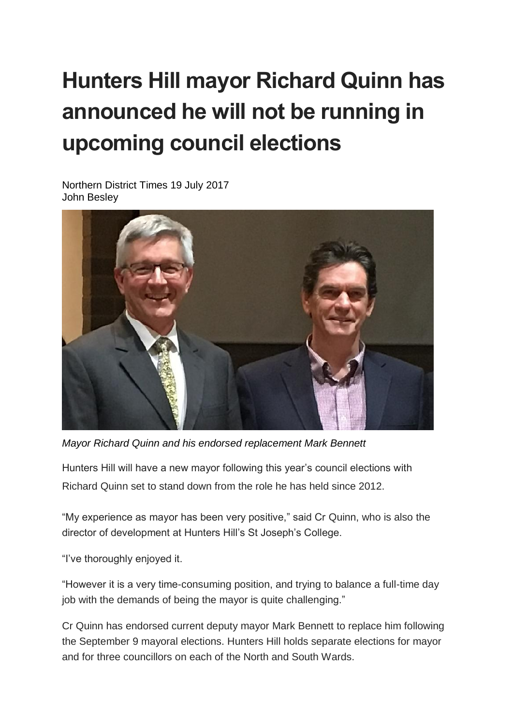## **Hunters Hill mayor Richard Quinn has announced he will not be running in upcoming council elections**

Northern District Times 19 July 2017 John Besley



*Mayor Richard Quinn and his endorsed replacement Mark Bennett*

Hunters Hill will have a new mayor following this year's council elections with Richard Quinn set to stand down from the role he has held since 2012.

"My experience as mayor has been very positive," said Cr Quinn, who is also the director of development at Hunters Hill's St Joseph's College.

"I've thoroughly enjoyed it.

"However it is a very time-consuming position, and trying to balance a full-time day job with the demands of being the mayor is quite challenging."

Cr Quinn has endorsed current deputy mayor Mark Bennett to replace him following the September 9 mayoral elections. Hunters Hill holds separate elections for mayor and for three councillors on each of the North and South Wards.